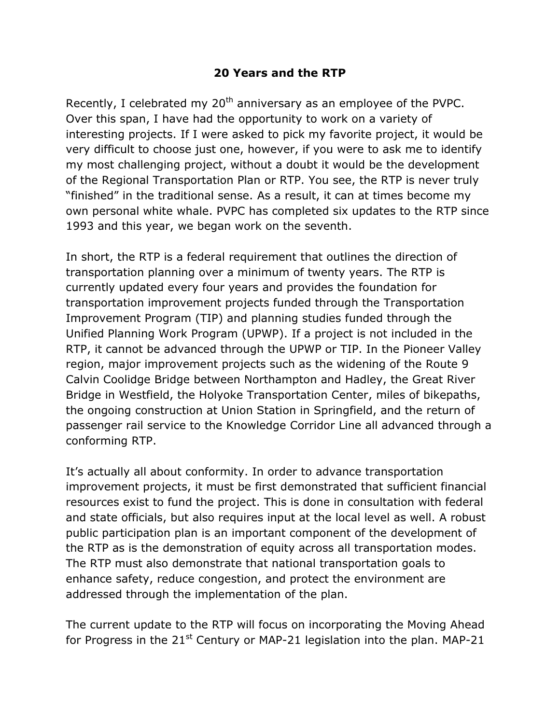## **20 Years and the RTP**

Recently, I celebrated my 20<sup>th</sup> anniversary as an employee of the PVPC. Over this span, I have had the opportunity to work on a variety of interesting projects. If I were asked to pick my favorite project, it would be very difficult to choose just one, however, if you were to ask me to identify my most challenging project, without a doubt it would be the development of the Regional Transportation Plan or RTP. You see, the RTP is never truly "finished" in the traditional sense. As a result, it can at times become my own personal white whale. PVPC has completed six updates to the RTP since 1993 and this year, we began work on the seventh.

In short, the RTP is a federal requirement that outlines the direction of transportation planning over a minimum of twenty years. The RTP is currently updated every four years and provides the foundation for transportation improvement projects funded through the Transportation Improvement Program (TIP) and planning studies funded through the Unified Planning Work Program (UPWP). If a project is not included in the RTP, it cannot be advanced through the UPWP or TIP. In the Pioneer Valley region, major improvement projects such as the widening of the Route 9 Calvin Coolidge Bridge between Northampton and Hadley, the Great River Bridge in Westfield, the Holyoke Transportation Center, miles of bikepaths, the ongoing construction at Union Station in Springfield, and the return of passenger rail service to the Knowledge Corridor Line all advanced through a conforming RTP.

It's actually all about conformity. In order to advance transportation improvement projects, it must be first demonstrated that sufficient financial resources exist to fund the project. This is done in consultation with federal and state officials, but also requires input at the local level as well. A robust public participation plan is an important component of the development of the RTP as is the demonstration of equity across all transportation modes. The RTP must also demonstrate that national transportation goals to enhance safety, reduce congestion, and protect the environment are addressed through the implementation of the plan.

The current update to the RTP will focus on incorporating the Moving Ahead for Progress in the  $21^{st}$  Century or MAP-21 legislation into the plan. MAP-21